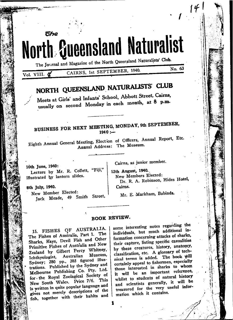# North Queensland Naturalist The Journal and Magazine of the North Queersland Naturalists' Club.

CAIRNS, 1st SEPTEMBER, 1940. Vol. VIII. &

**The** 

# NORTH QUEENSLAND NATURALISTS' CLUB

Meets at Girls' and Infants' School, Abbott Street, Cairns, usually on second Monday in each month, at 8 p.m.

# BUSINESS FOR NEXT MEETING, MONDAY, 9th SEPTEMBER,  $1940 :=$

Eighth Annual General Meeting, Election of Officers, Annual Report, Etc. Annual Address: The Museum.

10th June, 1940: Lecture by Mr. R. Collett, "Fiji," illustrated by lantern slides.

Jack Meade, 49 Smith Street,

8th July, 1940.

New Member Elected:

Cairns, as junior member.

12th August, 1940. New Members Elected: Dr. R. A. Robinson, Hides Hotel, Cairns.

No. 63

Mr. E. Markham, Babinda.

## BOOK REVIEW.

15. FISHES OF AUSTRALIA. The Fishes of Australia, Part 1. The Sharks, Rays, Devil Fish and Other Primitive Fishes of Australia and New Zealand by Gilbert Percy Whitney. Museum. Australian Ichthyologist, Sydney; 280 pp., 303 figured illus-<br>trations. Published by the Sydney and Melbourne Publishing Co. Pty. Ltd. for the Royal Zoolagical Society of New South Wales. Price 7/6. This is written in quite popular language and gives not merely descriptions of the fish, together with their habits and some interesting notes regarding the individuals, but much additional information concerning attacks of sharks, their capture, listing specific casualities by these creatures, history, anatomy, classification, etc. A glossary of technical terms is added. The book will certainly appeal to fishermen, especially those interested in sharks to whom it will be an important reference. whilst to students of natural history and scientists generally, it will be treasured for the very useful information which it contains.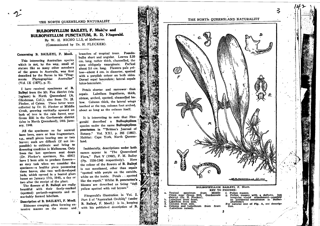#### THE NORTH QUEENSLAND NATURALIST

# BULBOPHYLLUM BAILEYI. F. Muel'er and BULBOPHYLLUM PUNCTATUM, R. D. Fitzgerald.

By W. H. NICHO LLS, of Melbourne. (Communicated by Dr. H. FLECKER).

#### Concerning B. BAILEYI, F. Muell.

This interesting Australian species which is not, by the way, small of stature like so many other members of the genus in Australia, was first described by the Baron in his "Fragmenta Phytographiae Australiae"  $(V<sub>o</sub>1, IX (1875), p. 5).$ 

I have received specimens of B. Baileyi from the Mt. Fox district (via Ingham) in North Queensland (A. Glindeman, Coll.); also from Dr. H. Flecker, of Cairns. These latter were collected by Dr. H. Flecker at Middle Creek, growing vertically upward on bark of tree in the rain forest near Green Hill in the Gordonvale district (also in North Quensland), 14th January, 1940.

All the specimens so far secured have been, more or less fragmentary. e.g., small pieces bearing one or two leaves; such are difficult (if not impossible) to cultivate and bring to flowering condition in Melbourne. Only from the last specimen sent down (Dr. Flecker's specimen, No. 6541) have I been able to produce flowersan easy task when we consider the specimen-a healthy piece possessing three leaves, also two well-developed buds, which opened in a heated glass house on January 17th, 1940,. a day or two after the receipt of the plant.

The flowers of B. Baileyi are really beautiful with their finely-marked (spotted) perianth-segments and remarkably formed labellum.

Description of B. BAILEYI, F. Muell. Rhizome creeping, often forming extensive masses on the stems and

branches of tropical trees. Pseudobulbs short and angular. Leaves 5.20 cm. long, rather thick, channelled, the apex obliquely emarginate. Pecicel about 5.6 cm. long. Flowers pale yellow-about 4 cm. in diameter, spotted with a purplish colour on both sides. Dorsal sepal lanceolate; lateral sepals falco-lanceolate.

Petals shorter and narrower than sepals. Labellum linguiform, thick, obtuse, arched, spotted, channelled below. Column thick, the lateral wings toothed at the top, column foot arched, about as long as the column itself.

It is interesting to note that Fitzgerald described a Bulbophyllum species under the name Bulbophyllum punctatum in ""Britten's Journal of Botany." Vol. XXI, p. 205 (1883). Habitat: Cape York, North Queensland.

Incidentally, descriptions under both names appear in "The Queensland Flora," Part V (1902), F. M. Bailey (Pp. 1536-1540 respectively). Here the colour of the flowers of B. Baileyi is not mentioned, other than sepals "spotted with purple on the outside, white on the inside. Petals . . spotted like the sepals." Whilst B. punctatum's blooms are described as being "dull yellow spotted with red brown."

Fitzgerald's illustration in Vol. 2, Part 5 of "Australian Orchids" (under B. Baileyi, F. Matell.) is in keeping with his published description of B.